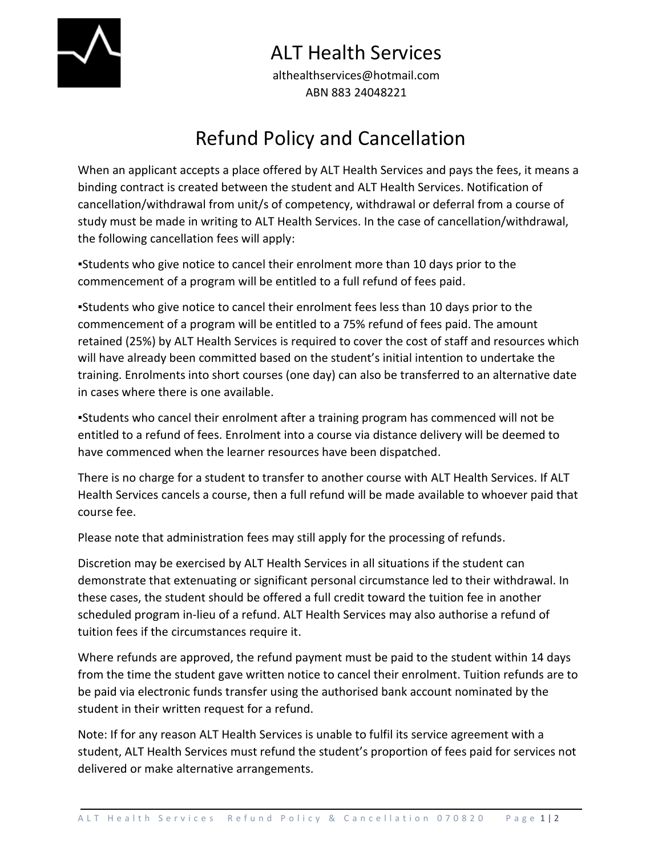

## ALT Health Services

althealthservices@hotmail.com ABN 883 24048221

## Refund Policy and Cancellation

When an applicant accepts a place offered by ALT Health Services and pays the fees, it means a binding contract is created between the student and ALT Health Services. Notification of cancellation/withdrawal from unit/s of competency, withdrawal or deferral from a course of study must be made in writing to ALT Health Services. In the case of cancellation/withdrawal, the following cancellation fees will apply:

▪Students who give notice to cancel their enrolment more than 10 days prior to the commencement of a program will be entitled to a full refund of fees paid.

▪Students who give notice to cancel their enrolment fees less than 10 days prior to the commencement of a program will be entitled to a 75% refund of fees paid. The amount retained (25%) by ALT Health Services is required to cover the cost of staff and resources which will have already been committed based on the student's initial intention to undertake the training. Enrolments into short courses (one day) can also be transferred to an alternative date in cases where there is one available.

▪Students who cancel their enrolment after a training program has commenced will not be entitled to a refund of fees. Enrolment into a course via distance delivery will be deemed to have commenced when the learner resources have been dispatched.

There is no charge for a student to transfer to another course with ALT Health Services. If ALT Health Services cancels a course, then a full refund will be made available to whoever paid that course fee.

Please note that administration fees may still apply for the processing of refunds.

Discretion may be exercised by ALT Health Services in all situations if the student can demonstrate that extenuating or significant personal circumstance led to their withdrawal. In these cases, the student should be offered a full credit toward the tuition fee in another scheduled program in-lieu of a refund. ALT Health Services may also authorise a refund of tuition fees if the circumstances require it.

Where refunds are approved, the refund payment must be paid to the student within 14 days from the time the student gave written notice to cancel their enrolment. Tuition refunds are to be paid via electronic funds transfer using the authorised bank account nominated by the student in their written request for a refund.

Note: If for any reason ALT Health Services is unable to fulfil its service agreement with a student, ALT Health Services must refund the student's proportion of fees paid for services not delivered or make alternative arrangements.